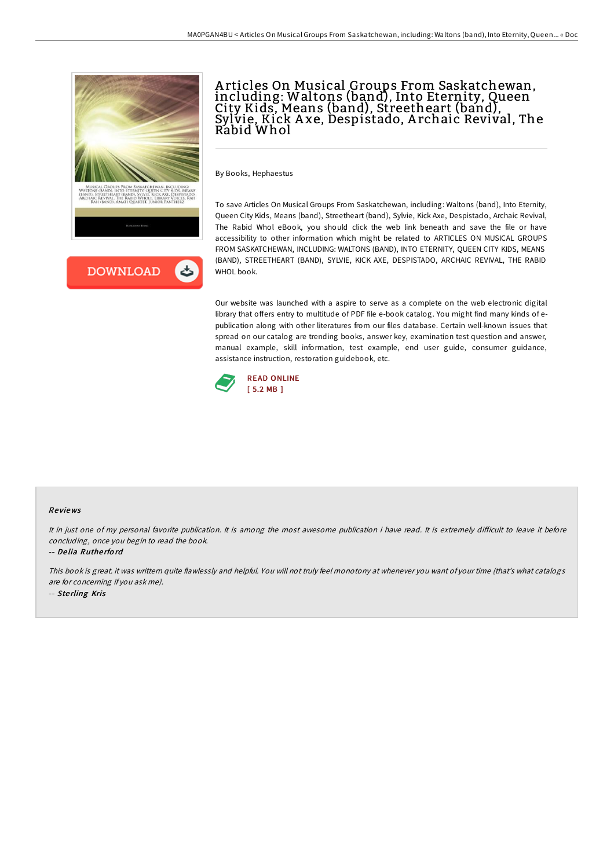

## A rticles On Musical Groups From Saskatchewan, including: Waltons (band), Into Eternity, Queen <sup>'</sup> City Kids, Means (band), Streetheart (band), Sylvie, Kick A xe, Despistado, A rchaic Revival, The Rabid Whol

By Books, Hephaestus

To save Articles On Musical Groups From Saskatchewan, including: Waltons (band), Into Eternity, Queen City Kids, Means (band), Streetheart (band), Sylvie, Kick Axe, Despistado, Archaic Revival, The Rabid Whol eBook, you should click the web link beneath and save the file or have accessibility to other information which might be related to ARTICLES ON MUSICAL GROUPS FROM SASKATCHEWAN, INCLUDING: WALTONS (BAND), INTO ETERNITY, QUEEN CITY KIDS, MEANS (BAND), STREETHEART (BAND), SYLVIE, KICK AXE, DESPISTADO, ARCHAIC REVIVAL, THE RABID WHOL book.

Our website was launched with a aspire to serve as a complete on the web electronic digital library that offers entry to multitude of PDF file e-book catalog. You might find many kinds of epublication along with other literatures from our files database. Certain well-known issues that spread on our catalog are trending books, answer key, examination test question and answer, manual example, skill information, test example, end user guide, consumer guidance, assistance instruction, restoration guidebook, etc.



## Re views

It in just one of my personal favorite publication. It is among the most awesome publication i have read. It is extremely difficult to leave it before concluding, once you begin to read the book.

-- De lia Ruthe rfo rd

This book is great. it was writtern quite flawlessly and helpful. You will not truly feel monotony at whenever you want of your time (that's what catalogs are for concerning if you ask me). -- Sterling Kris